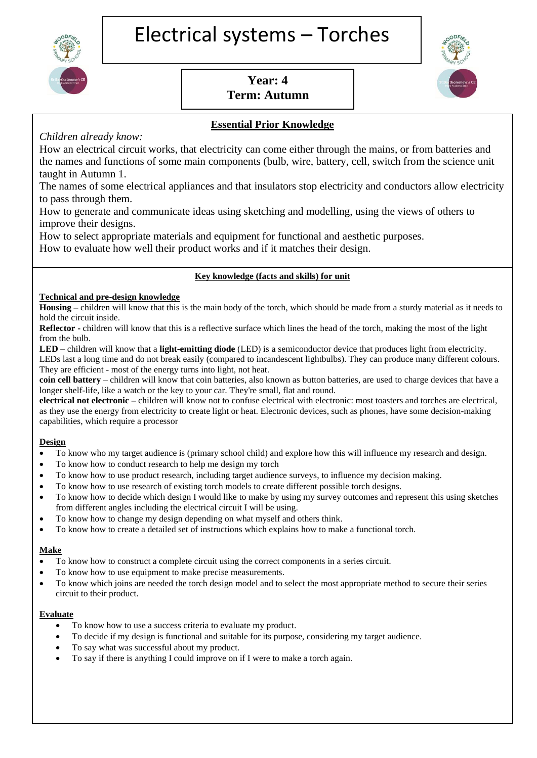

# **Year: 4 Term: Autumn**



## **Essential Prior Knowledge**

### *Children already know:*

How an electrical circuit works, that electricity can come either through the mains, or from batteries and the names and functions of some main components (bulb, wire, battery, cell, switch from the science unit taught in Autumn 1.

The names of some electrical appliances and that insulators stop electricity and conductors allow electricity to pass through them.

How to generate and communicate ideas using sketching and modelling, using the views of others to improve their designs.

How to select appropriate materials and equipment for functional and aesthetic purposes.

How to evaluate how well their product works and if it matches their design.

#### **Key knowledge (facts and skills) for unit**

#### **Technical and pre-design knowledge**

**Housing –** children will know that this is the main body of the torch, which should be made from a sturdy material as it needs to hold the circuit inside.

**Reflector -** children will know that this is a reflective surface which lines the head of the torch, making the most of the light from the bulb.

**LED** – children will know that a **light-emitting diode** (LED) is a semiconductor device that produces light from electricity.

LEDs last a long time and do not break easily (compared to incandescent lightbulbs). They can produce many different colours. They are efficient - most of the energy turns into light, not heat.

**coin cell battery** – children will know that coin batteries, also known as button batteries, are used to charge devices that have a longer shelf-life, like a watch or the key to your car. They're small, flat and round.

**electrical not electronic –** children will know not to confuse electrical with electronic: most toasters and torches are electrical, as they use the energy from electricity to create light or heat. Electronic devices, such as phones, have some decision-making capabilities, which require a processor

#### **Design**

- To know who my target audience is (primary school child) and explore how this will influence my research and design.
- To know how to conduct research to help me design my torch
- To know how to use product research, including target audience surveys, to influence my decision making.
- To know how to use research of existing torch models to create different possible torch designs.
- To know how to decide which design I would like to make by using my survey outcomes and represent this using sketches from different angles including the electrical circuit I will be using.
- To know how to change my design depending on what myself and others think.
- To know how to create a detailed set of instructions which explains how to make a functional torch.

#### **Make**

- To know how to construct a complete circuit using the correct components in a series circuit.
- To know how to use equipment to make precise measurements.
- To know which joins are needed the torch design model and to select the most appropriate method to secure their series circuit to their product.

#### **Evaluate**

- To know how to use a success criteria to evaluate my product.
- To decide if my design is functional and suitable for its purpose, considering my target audience.
- To say what was successful about my product.
- To say if there is anything I could improve on if I were to make a torch again.